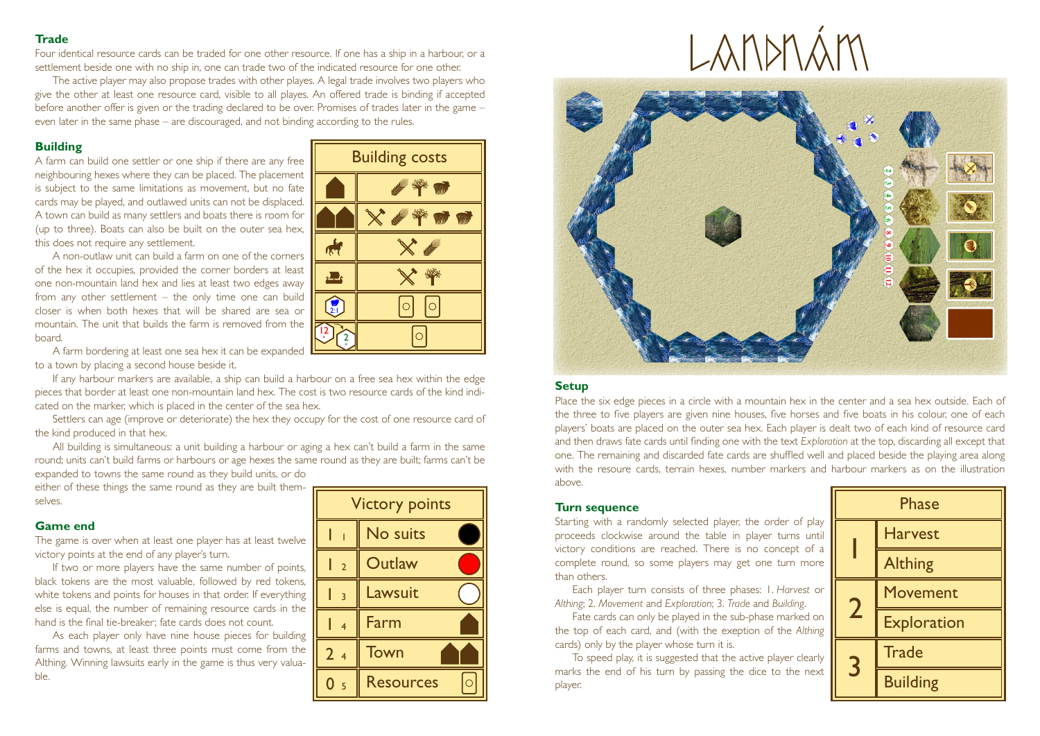## **Trade**

 Four identical resource cards can be traded for one other resource. If one has <sup>a</sup> ship in <sup>a</sup> harbour, or <sup>a</sup>settlement beside one with no ship in, one can trade two of the indicated resource for one other.

The active player may also propose trades with other playes. A legal trade involves two players who <sup>g</sup>ive the other at least one resource card, visible to all playes. An offered trade is binding if accepted before another offer is <sup>g</sup>iven or the trading declared to be over. Promises of trades later in the game –even later in the same phase – are discouraged, and not binding according to the rules.

# **Building**

 A farm can build one settler or one ship if there are any free neighbouring hexes where they can be placed. The placement is subject to the same limitations as movement, but no fate cards may be played, and outlawed units can not be displaced. A town can build as many settlers and boats there is room for (up to three). Boats can also be built on the outer sea hex, this does not require any settlement.

A non-outlaw unit can build <sup>a</sup> farm on one of the corners of the hex it occupies, provided the corner borders at least one non-mountain land hex and lies at least two edges away from any other settlement – the only time one can build closer is when both hexes that will be shared are sea or mountain. The unit that builds the farm is removed from theboard.

A farm bordering at least one sea hex it can be expandedto a town by placing a second house beside it.

If any harbour markers are available, <sup>a</sup> ship can build <sup>a</sup> harbour on <sup>a</sup> free sea hex within the edge pieces that border at least one non-mountain land hex. The cost is two resource cards of the kind indicated on the marker, which is placed in the center of the sea hex.

122

 $\bigodot$ 

 $\frac{1}{\sqrt{2}}$ 

 $\sum$ 

Settlers can age (improve or deteriorate) the hex they occupy for the cost of one resource card of the kind produced in that hex.

All building is simultaneous: <sup>a</sup> unit building <sup>a</sup> harbour or aging <sup>a</sup> hex can't build <sup>a</sup> farm in the sameround; units can't build farms or harbours or age hexes the same round as they are built; farms can't be

expanded to towns the same round as they build units, or do either of these things the same round as they are built themselves.

## **Game end**

 The game is over when at least one player has at least twelvevictory points at the end of any player's turn.

If two or more players have the same number of points, black tokens are the most valuable, followed by red tokens, white tokens and points for houses in that order. If everything else is equal, the number of remaining resource cards in thehand is the final tie-breaker; fate cards does not count.

As each player only have nine house pieces for building farms and towns, at least three points must come from the Althing. Winning lawsuits early in the game is thus very valuable.



Building costs

 $\boxed{\circ}$  $|\circ|$ 

 $\boxed{\circ}$ 





### **Setup**

 Place the six edge pieces in <sup>a</sup> circle with <sup>a</sup> mountain hex in the center and <sup>a</sup> sea hex outside. Each of the three to five players are <sup>g</sup>iven nine houses, five horses and five boats in his colour, one of each players' boats are placed on the outer sea hex. Each player is dealt two of each kind of resource card and then draws fate cards until finding one with the text *Exploration* at the top, discarding all excep<sup>t</sup> that one. The remaining and discarded fate cards are shuffled well and placed beside the playing area along with the resoure cards, terrain hexes, number markers and harbour markers as on the illustrationabove.

## **Turn sequence**

 Starting with <sup>a</sup> randomly selected player, the order of play proceeds clockwise around the table in player turns until victory conditions are reached. There is no concep<sup>t</sup> of <sup>a</sup> complete round, so some players may ge<sup>t</sup> one turn morethan others.

Each player turn consists of three phases: 1. *Harvest* or*Althing*; 2. *Movement* and *Exploration*; 3. *Trade* and *Building*.

Fate cards can only be played in the sub-phase marked on the top of each card, and (with the exeption of the *Althing* cards) only by the player whose turn it is.

To speed play, it is suggested that the active player clearly marks the end of his turn by passing the dice to the nextplayer.